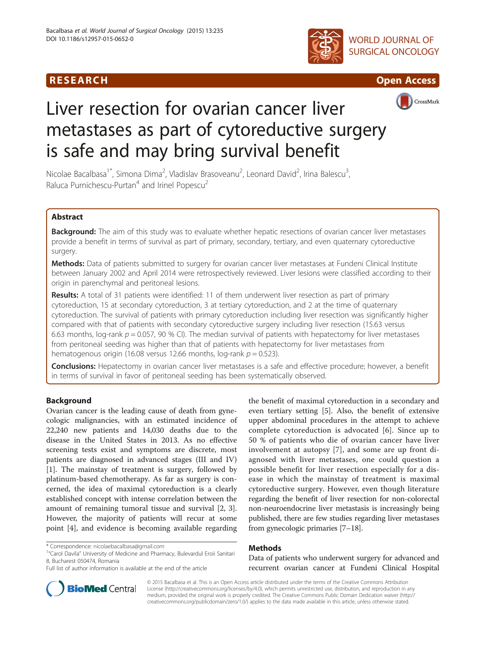# R E S EAR CH Open Access





# CrossMark

# Liver resection for ovarian cancer liver metastases as part of cytoreductive surgery is safe and may bring survival benefit

Nicolae Bacalbasa<sup>1\*</sup>, Simona Dima<sup>2</sup>, Vladislav Brasoveanu<sup>2</sup>, Leonard David<sup>2</sup>, Irina Balescu<sup>3</sup> , Raluca Purnichescu-Purtan<sup>4</sup> and Irinel Popescu<sup>2</sup>

# Abstract

Background: The aim of this study was to evaluate whether hepatic resections of ovarian cancer liver metastases provide a benefit in terms of survival as part of primary, secondary, tertiary, and even quaternary cytoreductive surgery.

Methods: Data of patients submitted to surgery for ovarian cancer liver metastases at Fundeni Clinical Institute between January 2002 and April 2014 were retrospectively reviewed. Liver lesions were classified according to their origin in parenchymal and peritoneal lesions.

Results: A total of 31 patients were identified: 11 of them underwent liver resection as part of primary cytoreduction, 15 at secondary cytoreduction, 3 at tertiary cytoreduction, and 2 at the time of quaternary cytoreduction. The survival of patients with primary cytoreduction including liver resection was significantly higher compared with that of patients with secondary cytoreductive surgery including liver resection (15.63 versus 6.63 months, log-rank  $p = 0.057$ , 90 % CI). The median survival of patients with hepatectomy for liver metastases from peritoneal seeding was higher than that of patients with hepatectomy for liver metastases from hematogenous origin (16.08 versus 12.66 months, log-rank  $p = 0.523$ ).

Conclusions: Hepatectomy in ovarian cancer liver metastases is a safe and effective procedure; however, a benefit in terms of survival in favor of peritoneal seeding has been systematically observed.

### Background

Ovarian cancer is the leading cause of death from gynecologic malignancies, with an estimated incidence of 22,240 new patients and 14,030 deaths due to the disease in the United States in 2013. As no effective screening tests exist and symptoms are discrete, most patients are diagnosed in advanced stages (III and IV) [[1\]](#page-5-0). The mainstay of treatment is surgery, followed by platinum-based chemotherapy. As far as surgery is concerned, the idea of maximal cytoreduction is a clearly established concept with intense correlation between the amount of remaining tumoral tissue and survival [\[2](#page-5-0), [3](#page-5-0)]. However, the majority of patients will recur at some point [\[4](#page-5-0)], and evidence is becoming available regarding

the benefit of maximal cytoreduction in a secondary and even tertiary setting [[5\]](#page-5-0). Also, the benefit of extensive upper abdominal procedures in the attempt to achieve complete cytoreduction is advocated [\[6](#page-5-0)]. Since up to 50 % of patients who die of ovarian cancer have liver involvement at autopsy [\[7\]](#page-5-0), and some are up front diagnosed with liver metastases, one could question a possible benefit for liver resection especially for a disease in which the mainstay of treatment is maximal cytoreductive surgery. However, even though literature regarding the benefit of liver resection for non-colorectal non-neuroendocrine liver metastasis is increasingly being published, there are few studies regarding liver metastases from gynecologic primaries [\[7](#page-5-0)–[18\]](#page-5-0).

### Methods

Data of patients who underwent surgery for advanced and recurrent ovarian cancer at Fundeni Clinical Hospital



© 2015 Bacalbasa et al. This is an Open Access article distributed under the terms of the Creative Commons Attribution License (<http://creativecommons.org/licenses/by/4.0>), which permits unrestricted use, distribution, and reproduction in any medium, provided the original work is properly credited. The Creative Commons Public Domain Dedication waiver [\(http://](http://creativecommons.org/publicdomain/zero/1.0/) [creativecommons.org/publicdomain/zero/1.0/\)](http://creativecommons.org/publicdomain/zero/1.0/) applies to the data made available in this article, unless otherwise stated.

<sup>\*</sup> Correspondence: [nicolaebacalbasa@gmail.com](mailto:nicolaebacalbasa@gmail.com) <sup>1</sup>

 $1''$ Carol Davila" University of Medicine and Pharmacy, Bulevardul Eroii Sanitari 8, Bucharest 050474, Romania

Full list of author information is available at the end of the article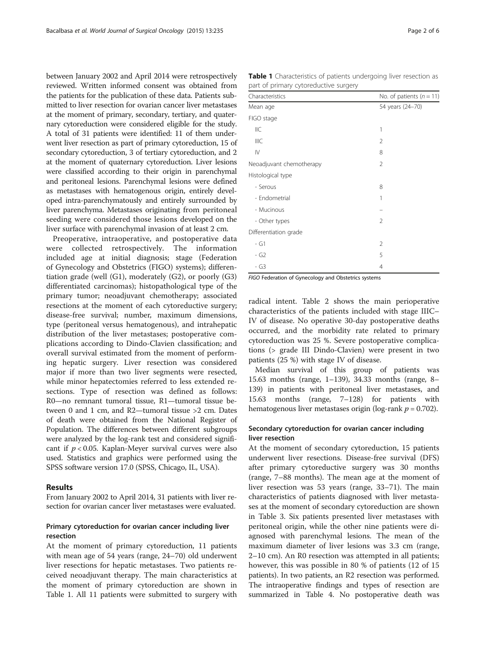between January 2002 and April 2014 were retrospectively reviewed. Written informed consent was obtained from the patients for the publication of these data. Patients submitted to liver resection for ovarian cancer liver metastases at the moment of primary, secondary, tertiary, and quaternary cytoreduction were considered eligible for the study. A total of 31 patients were identified: 11 of them underwent liver resection as part of primary cytoreduction, 15 of secondary cytoreduction, 3 of tertiary cytoreduction, and 2 at the moment of quaternary cytoreduction. Liver lesions were classified according to their origin in parenchymal and peritoneal lesions. Parenchymal lesions were defined as metastases with hematogenous origin, entirely developed intra-parenchymatously and entirely surrounded by liver parenchyma. Metastases originating from peritoneal seeding were considered those lesions developed on the liver surface with parenchymal invasion of at least 2 cm.

Preoperative, intraoperative, and postoperative data were collected retrospectively. The information included age at initial diagnosis; stage (Federation of Gynecology and Obstetrics (FIGO) systems); differentiation grade (well (G1), moderately (G2), or poorly (G3) differentiated carcinomas); histopathological type of the primary tumor; neoadjuvant chemotherapy; associated resections at the moment of each cytoreductive surgery; disease-free survival; number, maximum dimensions, type (peritoneal versus hematogenous), and intrahepatic distribution of the liver metastases; postoperative complications according to Dindo-Clavien classification; and overall survival estimated from the moment of performing hepatic surgery. Liver resection was considered major if more than two liver segments were resected, while minor hepatectomies referred to less extended resections. Type of resection was defined as follows: R0—no remnant tumoral tissue, R1—tumoral tissue between 0 and 1 cm, and R2—tumoral tissue >2 cm. Dates of death were obtained from the National Register of Population. The differences between different subgroups were analyzed by the log-rank test and considered significant if  $p < 0.05$ . Kaplan-Meyer survival curves were also used. Statistics and graphics were performed using the SPSS software version 17.0 (SPSS, Chicago, IL, USA).

#### Results

From January 2002 to April 2014, 31 patients with liver resection for ovarian cancer liver metastases were evaluated.

### Primary cytoreduction for ovarian cancer including liver resection

At the moment of primary cytoreduction, 11 patients with mean age of 54 years (range, 24–70) old underwent liver resections for hepatic metastases. Two patients received neoadjuvant therapy. The main characteristics at the moment of primary cytoreduction are shown in Table 1. All 11 patients were submitted to surgery with

Table 1 Characteristics of patients undergoing liver resection as part of primary cytoreductive surgery

| Characteristics          | No. of patients $(n = 11)$ |
|--------------------------|----------------------------|
| Mean age                 | 54 years (24-70)           |
| FIGO stage               |                            |
| IIC                      | 1                          |
| IIIC                     | 2                          |
| $\mathsf{I}\mathsf{V}$   | 8                          |
| Neoadjuvant chemotherapy | 2                          |
| Histological type        |                            |
| - Serous                 | 8                          |
| - Endometrial            | 1                          |
| - Mucinous               |                            |
| - Other types            | $\mathfrak{D}$             |
| Differentiation grade    |                            |
| - G1                     | 2                          |
| - G2                     | 5                          |
| - G3                     | $\overline{4}$             |

FIGO Federation of Gynecology and Obstetrics systems

radical intent. Table [2](#page-2-0) shows the main perioperative characteristics of the patients included with stage IIIC– IV of disease. No operative 30-day postoperative deaths occurred, and the morbidity rate related to primary cytoreduction was 25 %. Severe postoperative complications (> grade III Dindo-Clavien) were present in two patients (25 %) with stage IV of disease.

Median survival of this group of patients was 15.63 months (range, 1–139), 34.33 months (range, 8– 139) in patients with peritoneal liver metastases, and 15.63 months (range, 7–128) for patients with hematogenous liver metastases origin (log-rank  $p = 0.702$ ).

#### Secondary cytoreduction for ovarian cancer including liver resection

At the moment of secondary cytoreduction, 15 patients underwent liver resections. Disease-free survival (DFS) after primary cytoreductive surgery was 30 months (range, 7–88 months). The mean age at the moment of liver resection was 53 years (range, 33–71). The main characteristics of patients diagnosed with liver metastases at the moment of secondary cytoreduction are shown in Table [3](#page-2-0). Six patients presented liver metastases with peritoneal origin, while the other nine patients were diagnosed with parenchymal lesions. The mean of the maximum diameter of liver lesions was 3.3 cm (range, 2–10 cm). An R0 resection was attempted in all patients; however, this was possible in 80 % of patients (12 of 15 patients). In two patients, an R2 resection was performed. The intraoperative findings and types of resection are summarized in Table [4.](#page-3-0) No postoperative death was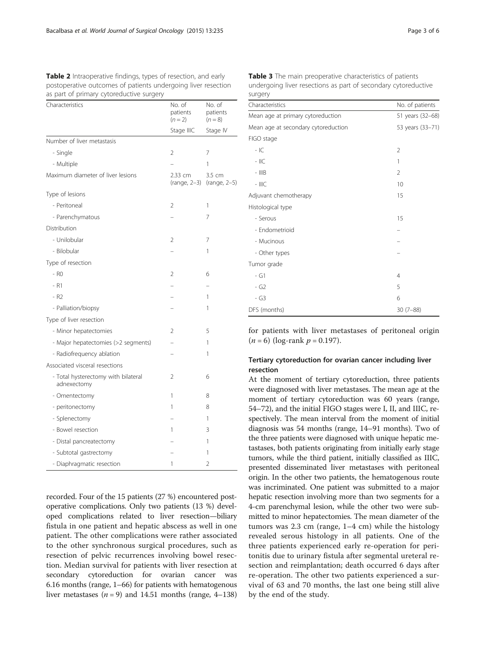<span id="page-2-0"></span>Table 2 Intraoperative findings, types of resection, and early postoperative outcomes of patients undergoing liver resection as part of primary cytoreductive surgery

| Characteristics                                    | No. of<br>patients<br>$(n = 2)$ | No. of<br>patients<br>$(n = 8)$     |
|----------------------------------------------------|---------------------------------|-------------------------------------|
|                                                    | Stage IIIC                      | Stage IV                            |
| Number of liver metastasis                         |                                 |                                     |
| - Single                                           | 2                               | 7                                   |
| - Multiple                                         |                                 | 1                                   |
| Maximum diameter of liver lesions                  | 2.33 cm                         | 3.5 cm<br>(range, 2-3) (range, 2-5) |
| Type of lesions                                    |                                 |                                     |
| - Peritoneal                                       | $\overline{2}$                  | 1                                   |
| - Parenchymatous                                   |                                 | 7                                   |
| Distribution                                       |                                 |                                     |
| - Unilobular                                       | 2                               | 7                                   |
| - Bilobular                                        |                                 | 1                                   |
| Type of resection                                  |                                 |                                     |
| - RO                                               | $\overline{2}$                  | 6                                   |
| - R1                                               |                                 |                                     |
| $-R2$                                              |                                 | 1                                   |
| - Palliation/biopsy                                |                                 | 1                                   |
| Type of liver resection                            |                                 |                                     |
| - Minor hepatectomies                              | 2                               | 5                                   |
| - Major hepatectomies (>2 segments)                |                                 | 1                                   |
| - Radiofrequency ablation                          |                                 | 1                                   |
| Associated visceral resections                     |                                 |                                     |
| - Total hysterectomy with bilateral<br>adnexectomy | $\overline{2}$                  | 6                                   |
| - Omentectomy                                      | 1                               | 8                                   |
| - peritonectomy                                    | 1                               | 8                                   |
| - Splenectomy                                      |                                 | 1                                   |
| - Bowel resection                                  | 1                               | 3                                   |
| - Distal pancreatectomy                            |                                 | 1                                   |
| - Subtotal gastrectomy                             |                                 | 1                                   |
| - Diaphragmatic resection                          | 1                               | $\overline{\phantom{a}}$            |

recorded. Four of the 15 patients (27 %) encountered postoperative complications. Only two patients (13 %) developed complications related to liver resection—biliary fistula in one patient and hepatic abscess as well in one patient. The other complications were rather associated to the other synchronous surgical procedures, such as resection of pelvic recurrences involving bowel resection. Median survival for patients with liver resection at secondary cytoreduction for ovarian cancer was 6.16 months (range, 1–66) for patients with hematogenous liver metastases ( $n = 9$ ) and 14.51 months (range, 4–138)

| <b>JULY</b> CLY                     |                                     |  |
|-------------------------------------|-------------------------------------|--|
| Characteristics                     | No. of patients<br>51 years (32-68) |  |
| Mean age at primary cytoreduction   |                                     |  |
| Mean age at secondary cytoreduction | 53 years (33-71)                    |  |
| FIGO stage                          |                                     |  |
| $-IC$                               | 2                                   |  |
| $-$ IIC                             | 1                                   |  |
| $-$ IIIB                            | $\overline{2}$                      |  |
| $-$ IIIC                            | 10                                  |  |
| Adjuvant chemotherapy               | 15                                  |  |
| Histological type                   |                                     |  |
| - Serous                            | 15                                  |  |
| - Endometrioid                      |                                     |  |
| - Mucinous                          |                                     |  |
| - Other types                       |                                     |  |
| Tumor grade                         |                                     |  |
| $- G1$                              | 4                                   |  |
| $-G2$                               | 5                                   |  |
| - G3                                | 6                                   |  |
| DFS (months)                        | $30(7 - 88)$                        |  |

Table 3 The main preoperative characteristics of patients undergoing liver resections as part of secondary cytoreductive surgery

for patients with liver metastases of peritoneal origin  $(n = 6)$  (log-rank  $p = 0.197$ ).

### Tertiary cytoreduction for ovarian cancer including liver resection

At the moment of tertiary cytoreduction, three patients were diagnosed with liver metastases. The mean age at the moment of tertiary cytoreduction was 60 years (range, 54–72), and the initial FIGO stages were I, II, and IIIC, respectively. The mean interval from the moment of initial diagnosis was 54 months (range, 14–91 months). Two of the three patients were diagnosed with unique hepatic metastases, both patients originating from initially early stage tumors, while the third patient, initially classified as IIIC, presented disseminated liver metastases with peritoneal origin. In the other two patients, the hematogenous route was incriminated. One patient was submitted to a major hepatic resection involving more than two segments for a 4-cm parenchymal lesion, while the other two were submitted to minor hepatectomies. The mean diameter of the tumors was 2.3 cm (range, 1–4 cm) while the histology revealed serous histology in all patients. One of the three patients experienced early re-operation for peritonitis due to urinary fistula after segmental ureteral resection and reimplantation; death occurred 6 days after re-operation. The other two patients experienced a survival of 63 and 70 months, the last one being still alive by the end of the study.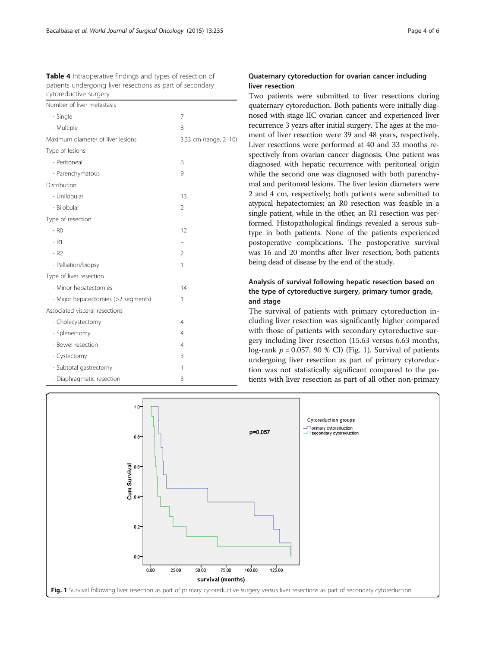<span id="page-3-0"></span>Table 4 Intraoperative findings and types of resection of patients undergoing liver resections as part of secondary cytoreductive surgery

| Number of liver metastasis          |                       |
|-------------------------------------|-----------------------|
| - Single                            | 7                     |
| - Multiple                          | 8                     |
| Maximum diameter of liver lesions   | 3.33 cm (range, 2-10) |
| Type of lesions                     |                       |
| - Peritoneal                        | 6                     |
| - Parenchymatous                    | 9                     |
| Distribution                        |                       |
| - Unilobular                        | 13                    |
| - Bilobular                         | $\overline{2}$        |
| Type of resection                   |                       |
| - RO                                | 12                    |
| $- R1$                              |                       |
| $- R2$                              | $\mathfrak{D}$        |
| - Palliation/biopsy                 | 1                     |
| Type of liver resection             |                       |
| - Minor hepatectomies               | 14                    |
| - Major hepatectomies (>2 segments) | 1                     |
| Associated visceral resections      |                       |
| - Cholecystectomy                   | $\overline{4}$        |
| - Splenectomy                       | 4                     |
| - Bowel resection                   | $\overline{4}$        |
| - Cystectomy                        | 3                     |
| - Subtotal gastrectomy              | 1                     |
| - Diaphragmatic resection           | 3                     |

### Quaternary cytoreduction for ovarian cancer including liver resection

Two patients were submitted to liver resections during quaternary cytoreduction. Both patients were initially diagnosed with stage IIC ovarian cancer and experienced liver recurrence 3 years after initial surgery. The ages at the moment of liver resection were 39 and 48 years, respectively. Liver resections were performed at 40 and 33 months respectively from ovarian cancer diagnosis. One patient was diagnosed with hepatic recurrence with peritoneal origin while the second one was diagnosed with both parenchymal and peritoneal lesions. The liver lesion diameters were 2 and 4 cm, respectively; both patients were submitted to atypical hepatectomies; an R0 resection was feasible in a single patient, while in the other, an R1 resection was performed. Histopathological findings revealed a serous subtype in both patients. None of the patients experienced postoperative complications. The postoperative survival was 16 and 20 months after liver resection, both patients being dead of disease by the end of the study.

## Analysis of survival following hepatic resection based on the type of cytoreductive surgery, primary tumor grade, and stage

The survival of patients with primary cytoreduction including liver resection was significantly higher compared with those of patients with secondary cytoreductive surgery including liver resection (15.63 versus 6.63 months, log-rank  $p = 0.057$ , 90 % CI) (Fig. 1). Survival of patients undergoing liver resection as part of primary cytoreduction was not statistically significant compared to the patients with liver resection as part of all other non-primary

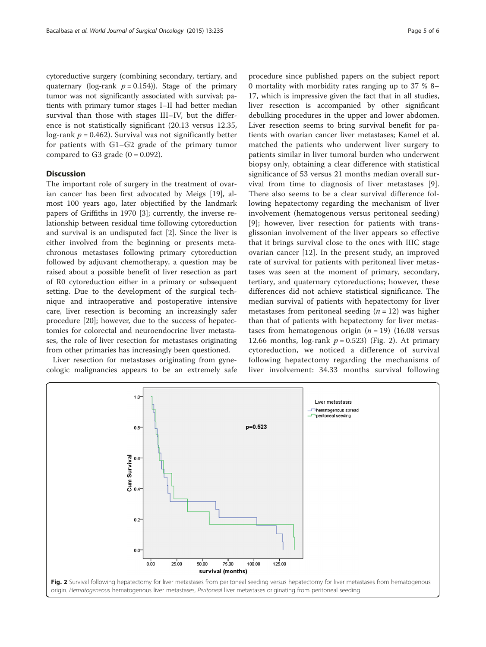cytoreductive surgery (combining secondary, tertiary, and quaternary (log-rank  $p = 0.154$ )). Stage of the primary tumor was not significantly associated with survival; patients with primary tumor stages I–II had better median survival than those with stages III–IV, but the difference is not statistically significant (20.13 versus 12.35, log-rank  $p = 0.462$ ). Survival was not significantly better for patients with G1–G2 grade of the primary tumor compared to G3 grade  $(0 = 0.092)$ .

#### **Discussion**

The important role of surgery in the treatment of ovarian cancer has been first advocated by Meigs [\[19](#page-5-0)], almost 100 years ago, later objectified by the landmark papers of Griffiths in 1970 [[3\]](#page-5-0); currently, the inverse relationship between residual time following cytoreduction and survival is an undisputed fact [\[2](#page-5-0)]. Since the liver is either involved from the beginning or presents metachronous metastases following primary cytoreduction followed by adjuvant chemotherapy, a question may be raised about a possible benefit of liver resection as part of R0 cytoreduction either in a primary or subsequent setting. Due to the development of the surgical technique and intraoperative and postoperative intensive care, liver resection is becoming an increasingly safer procedure [[20\]](#page-5-0); however, due to the success of hepatectomies for colorectal and neuroendocrine liver metastases, the role of liver resection for metastases originating from other primaries has increasingly been questioned.

Liver resection for metastases originating from gynecologic malignancies appears to be an extremely safe

procedure since published papers on the subject report 0 mortality with morbidity rates ranging up to 37 % 8– 17, which is impressive given the fact that in all studies, liver resection is accompanied by other significant debulking procedures in the upper and lower abdomen. Liver resection seems to bring survival benefit for patients with ovarian cancer liver metastases; Kamel et al. matched the patients who underwent liver surgery to patients similar in liver tumoral burden who underwent biopsy only, obtaining a clear difference with statistical significance of 53 versus 21 months median overall survival from time to diagnosis of liver metastases [\[9](#page-5-0)]. There also seems to be a clear survival difference following hepatectomy regarding the mechanism of liver involvement (hematogenous versus peritoneal seeding) [[9](#page-5-0)]; however, liver resection for patients with transglissonian involvement of the liver appears so effective that it brings survival close to the ones with IIIC stage ovarian cancer [\[12\]](#page-5-0). In the present study, an improved rate of survival for patients with peritoneal liver metastases was seen at the moment of primary, secondary, tertiary, and quaternary cytoreductions; however, these differences did not achieve statistical significance. The median survival of patients with hepatectomy for liver metastases from peritoneal seeding  $(n = 12)$  was higher than that of patients with hepatectomy for liver metastases from hematogenous origin ( $n = 19$ ) (16.08 versus 12.66 months,  $log-rank$   $p = 0.523$ ) (Fig. 2). At primary cytoreduction, we noticed a difference of survival following hepatectomy regarding the mechanisms of liver involvement: 34.33 months survival following